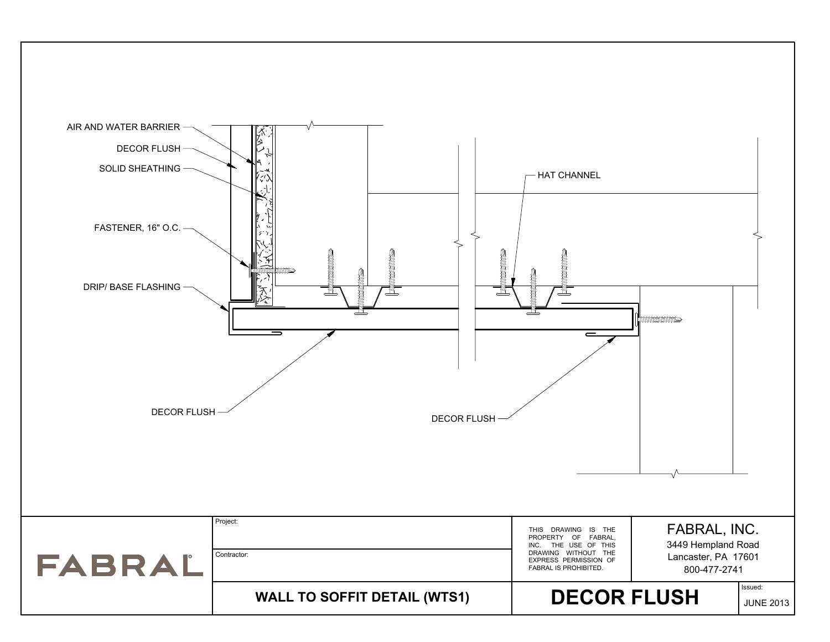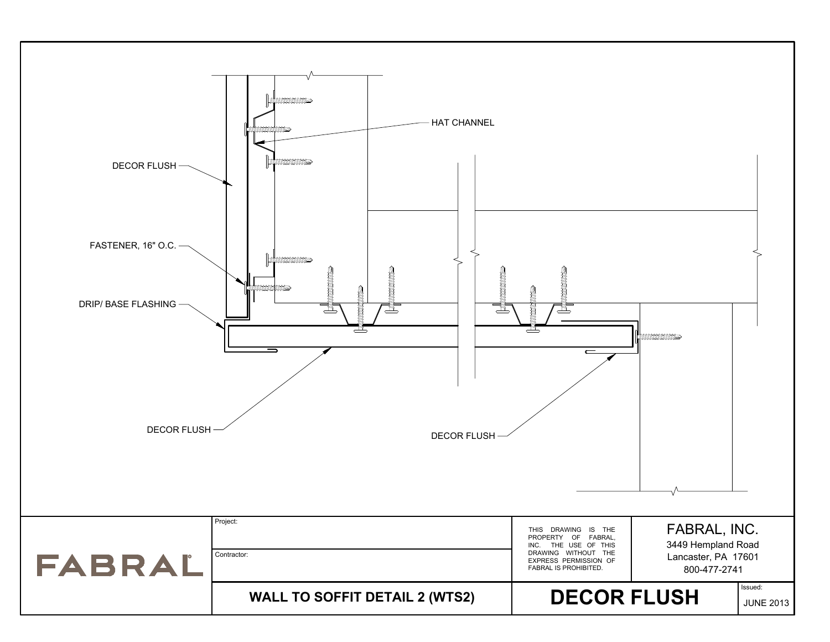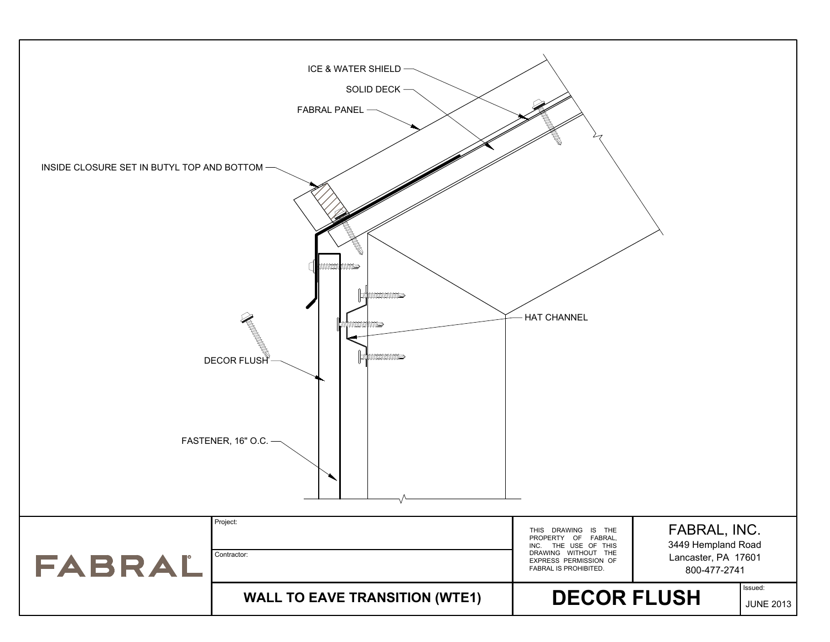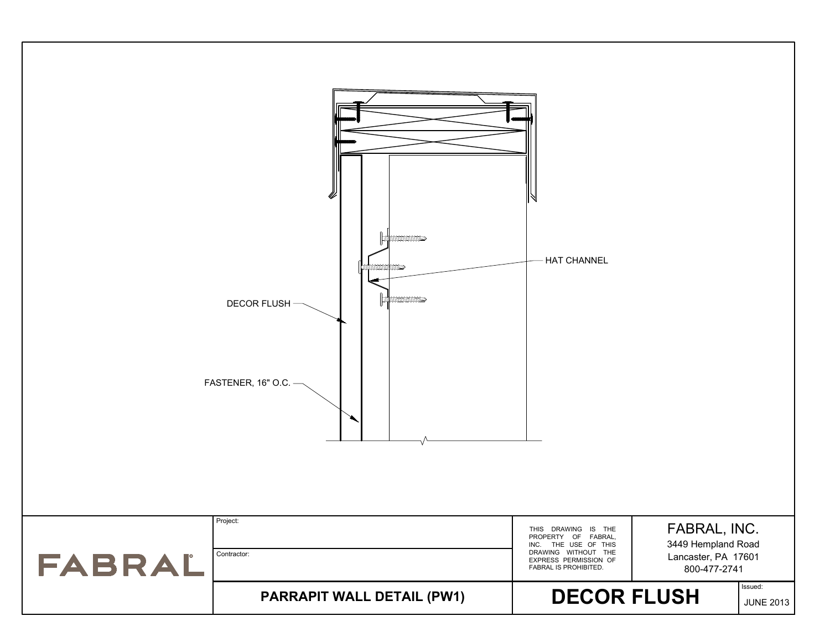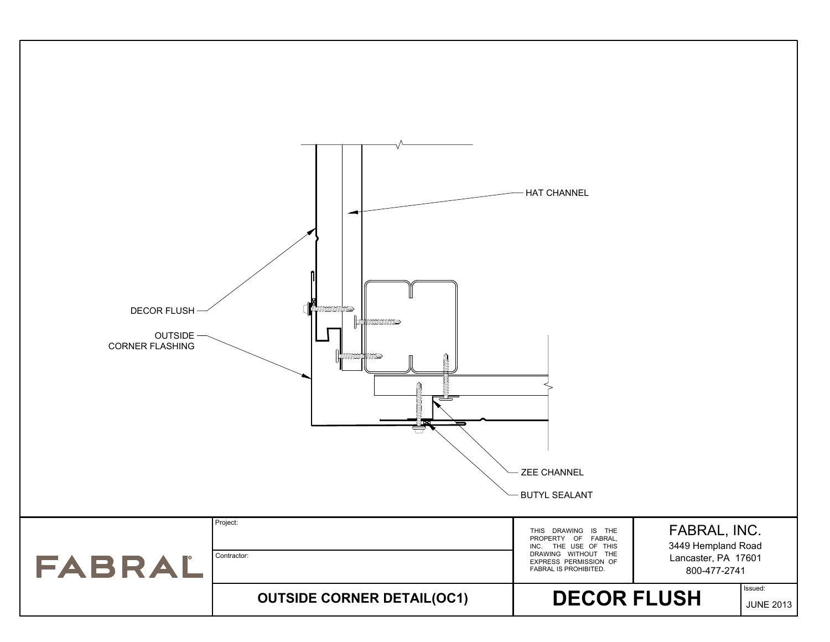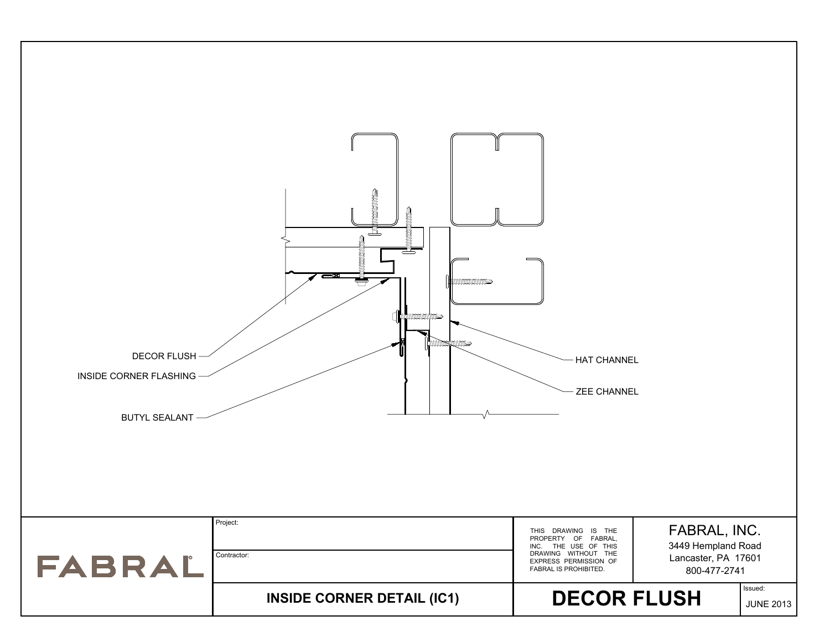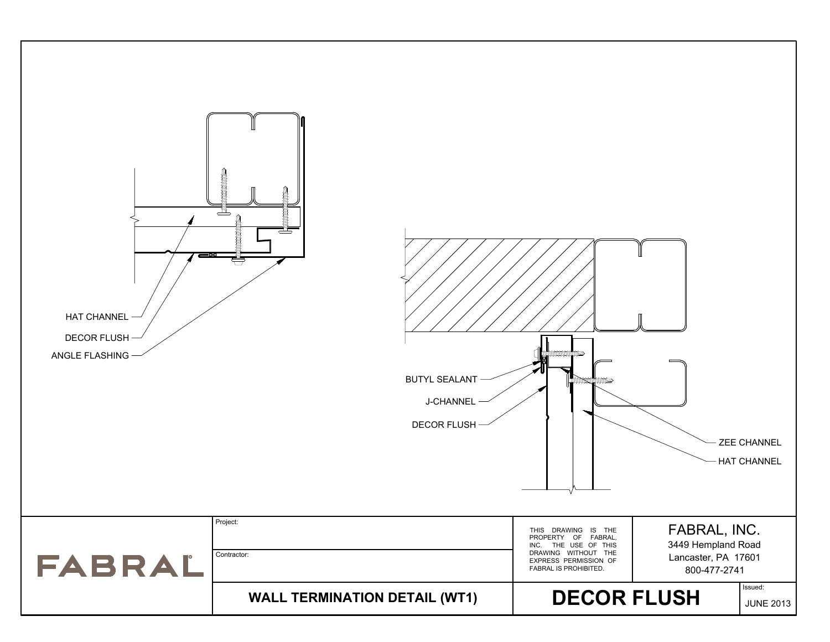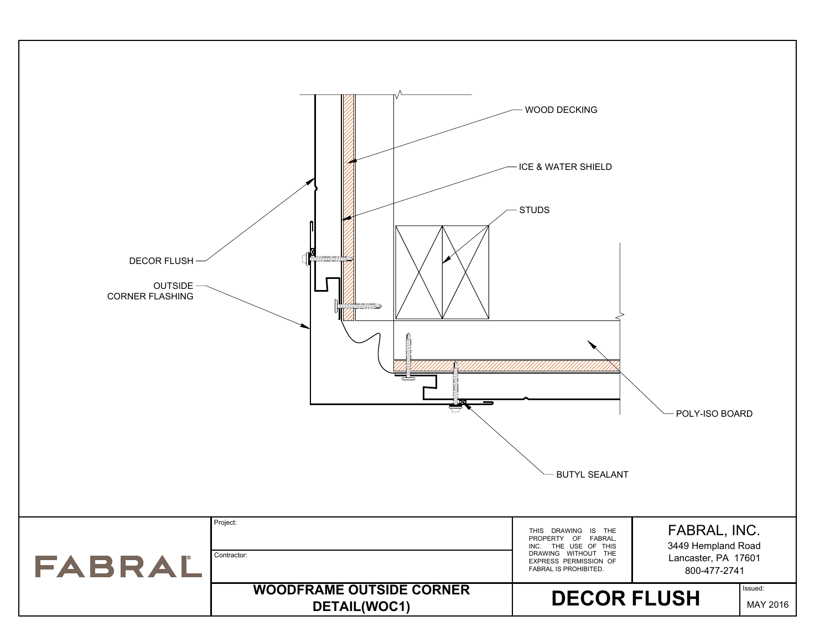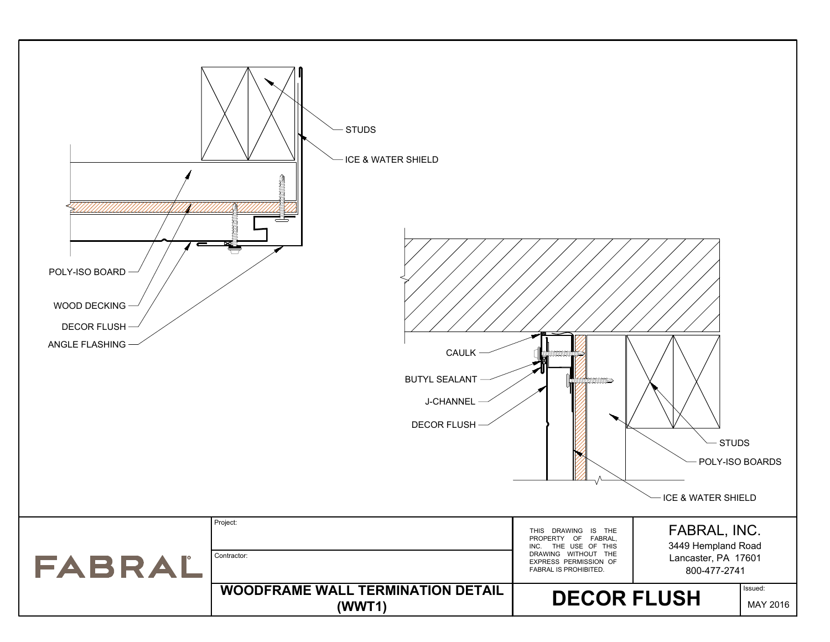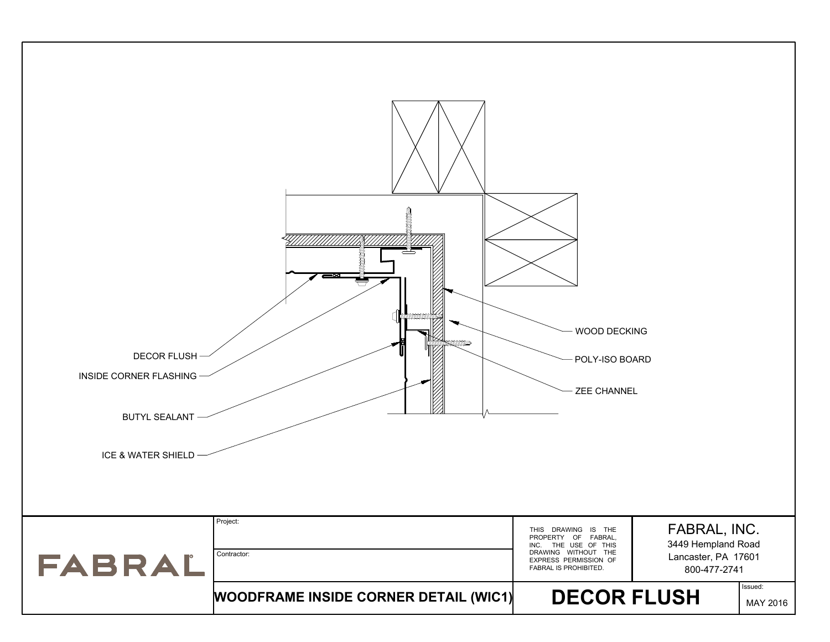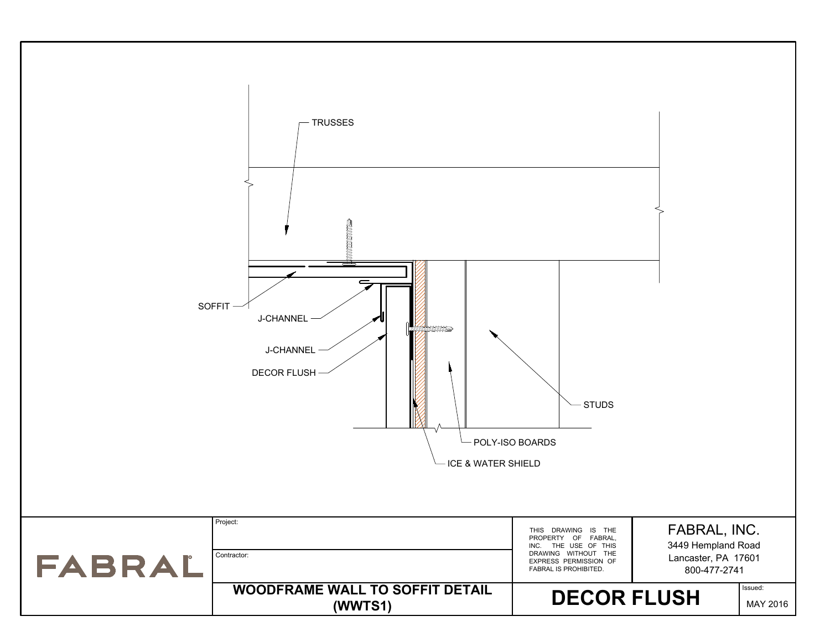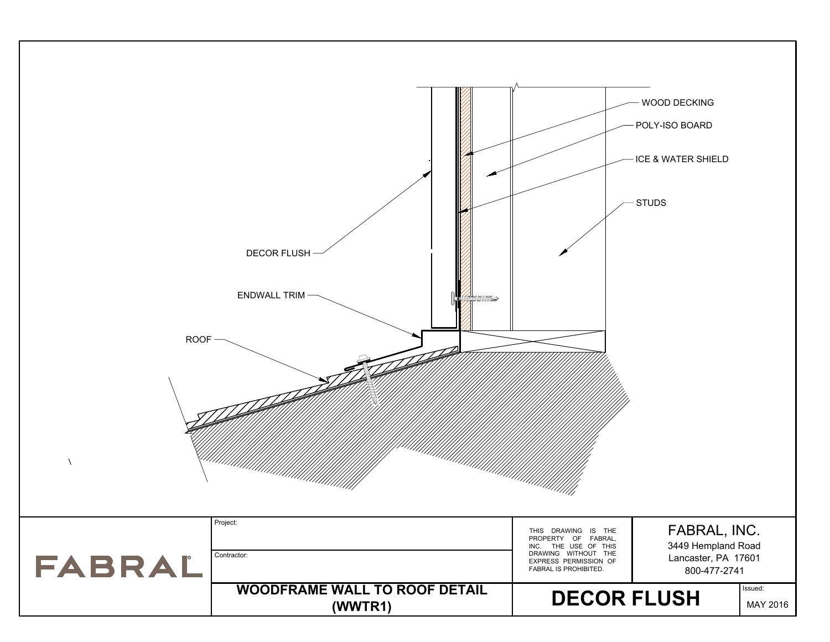| ROOF-<br>$\Delta$ | DECOR FLUSH<br>ENDWALL TRIM-<br>mmmme           |                                                                                                                                             | WOOD DECKING<br>POLY-ISO BOARD<br>- ICE & WATER SHIELD<br>- STUDS         |
|-------------------|-------------------------------------------------|---------------------------------------------------------------------------------------------------------------------------------------------|---------------------------------------------------------------------------|
| FABRAL            | Project:<br>Contractor:                         | THIS DRAWING IS THE<br>PROPERTY OF FABRAL,<br>INC. THE USE OF THIS<br>DRAWING WITHOUT THE<br>EXPRESS PERMISSION OF<br>FABRAL IS PROHIBITED. | FABRAL, INC.<br>3449 Hempland Road<br>Lancaster, PA 17601<br>800-477-2741 |
|                   | <b>WOODFRAME WALL TO ROOF DETAIL</b><br>(WWTR1) | <b>DECOR FLUSH</b>                                                                                                                          | Issued:<br>MAY 2016                                                       |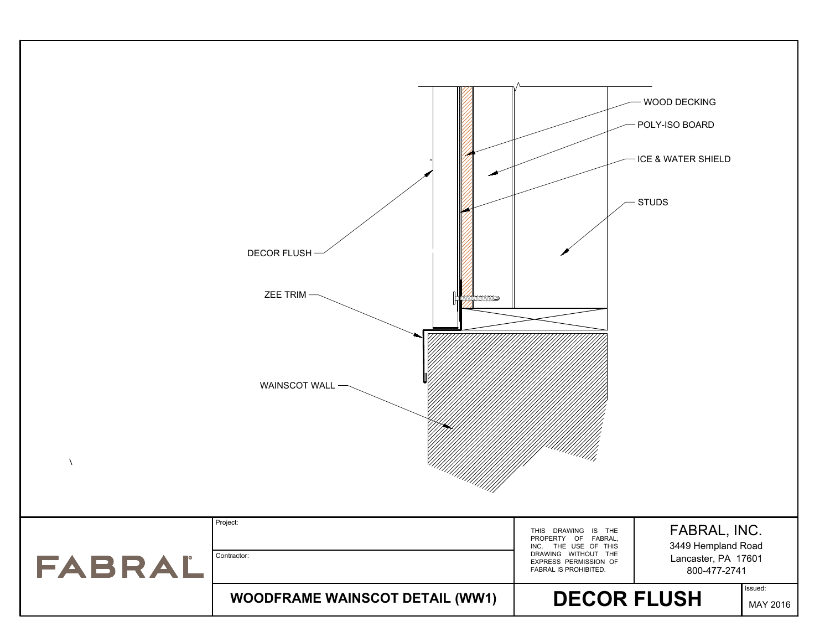